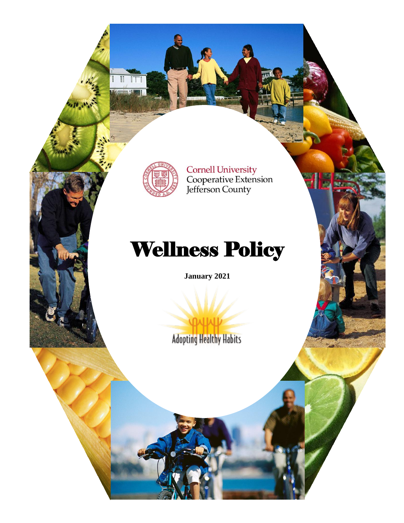

 $\mathbf{u}$ 

Cornell University<br>Cooperative Extension<br>Jefferson County

# Wellness Policy

**January 2021**

**Adopting Healthy Habits**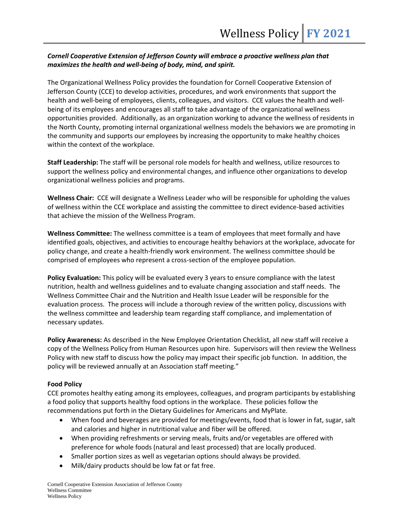# *Cornell Cooperative Extension of Jefferson County will embrace a proactive wellness plan that maximizes the health and well-being of body, mind, and spirit.*

The Organizational Wellness Policy provides the foundation for Cornell Cooperative Extension of Jefferson County (CCE) to develop activities, procedures, and work environments that support the health and well-being of employees, clients, colleagues, and visitors. CCE values the health and wellbeing of its employees and encourages all staff to take advantage of the organizational wellness opportunities provided. Additionally, as an organization working to advance the wellness of residents in the North County, promoting internal organizational wellness models the behaviors we are promoting in the community and supports our employees by increasing the opportunity to make healthy choices within the context of the workplace.

**Staff Leadership:** The staff will be personal role models for health and wellness, utilize resources to support the wellness policy and environmental changes, and influence other organizations to develop organizational wellness policies and programs.

**Wellness Chair:** CCE will designate a Wellness Leader who will be responsible for upholding the values of wellness within the CCE workplace and assisting the committee to direct evidence-based activities that achieve the mission of the Wellness Program.

**Wellness Committee:** The wellness committee is a team of employees that meet formally and have identified goals, objectives, and activities to encourage healthy behaviors at the workplace, advocate for policy change, and create a health-friendly work environment. The wellness committee should be comprised of employees who represent a cross-section of the employee population.

**Policy Evaluation:** This policy will be evaluated every 3 years to ensure compliance with the latest nutrition, health and wellness guidelines and to evaluate changing association and staff needs. The Wellness Committee Chair and the Nutrition and Health Issue Leader will be responsible for the evaluation process. The process will include a thorough review of the written policy, discussions with the wellness committee and leadership team regarding staff compliance, and implementation of necessary updates.

**Policy Awareness:** As described in the New Employee Orientation Checklist, all new staff will receive a copy of the Wellness Policy from Human Resources upon hire. Supervisors will then review the Wellness Policy with new staff to discuss how the policy may impact their specific job function. In addition, the policy will be reviewed annually at an Association staff meeting."

# **Food Policy**

CCE promotes healthy eating among its employees, colleagues, and program participants by establishing a food policy that supports healthy food options in the workplace. These policies follow the recommendations put forth in the Dietary Guidelines for Americans and MyPlate.

- When food and beverages are provided for meetings/events, food that is lower in fat, sugar, salt and calories and higher in nutritional value and fiber will be offered.
- When providing refreshments or serving meals, fruits and/or vegetables are offered with preference for whole foods (natural and least processed) that are locally produced.
- Smaller portion sizes as well as vegetarian options should always be provided.
- Milk/dairy products should be low fat or fat free.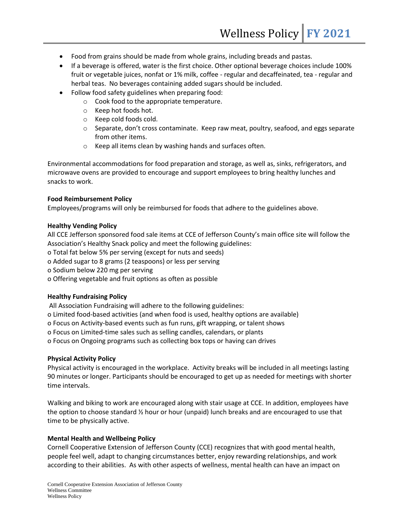- Food from grains should be made from whole grains, including breads and pastas.
- If a beverage is offered, water is the first choice. Other optional beverage choices include 100% fruit or vegetable juices, nonfat or 1% milk, coffee - regular and decaffeinated, tea - regular and herbal teas. No beverages containing added sugars should be included.
- Follow food safety guidelines when preparing food:
	- o Cook food to the appropriate temperature.
	- o Keep hot foods hot.
	- o Keep cold foods cold.
	- $\circ$  Separate, don't cross contaminate. Keep raw meat, poultry, seafood, and eggs separate from other items.
	- o Keep all items clean by washing hands and surfaces often.

Environmental accommodations for food preparation and storage, as well as, sinks, refrigerators, and microwave ovens are provided to encourage and support employees to bring healthy lunches and snacks to work.

# **Food Reimbursement Policy**

Employees/programs will only be reimbursed for foods that adhere to the guidelines above.

# **Healthy Vending Policy**

All CCE Jefferson sponsored food sale items at CCE of Jefferson County's main office site will follow the Association's Healthy Snack policy and meet the following guidelines:

o Total fat below 5% per serving (except for nuts and seeds)

o Added sugar to 8 grams (2 teaspoons) or less per serving

- o Sodium below 220 mg per serving
- o Offering vegetable and fruit options as often as possible

# **Healthy Fundraising Policy**

All Association Fundraising will adhere to the following guidelines:

- o Limited food‐based activities (and when food is used, healthy options are available)
- o Focus on Activity‐based events such as fun runs, gift wrapping, or talent shows
- o Focus on Limited‐time sales such as selling candles, calendars, or plants
- o Focus on Ongoing programs such as collecting box tops or having can drives

# **Physical Activity Policy**

Physical activity is encouraged in the workplace. Activity breaks will be included in all meetings lasting 90 minutes or longer. Participants should be encouraged to get up as needed for meetings with shorter time intervals.

Walking and biking to work are encouraged along with stair usage at CCE. In addition, employees have the option to choose standard ½ hour or hour (unpaid) lunch breaks and are encouraged to use that time to be physically active.

# **Mental Health and Wellbeing Policy**

Cornell Cooperative Extension of Jefferson County (CCE) recognizes that with good mental health, people feel well, adapt to changing circumstances better, enjoy rewarding relationships, and work according to their abilities. As with other aspects of wellness, mental health can have an impact on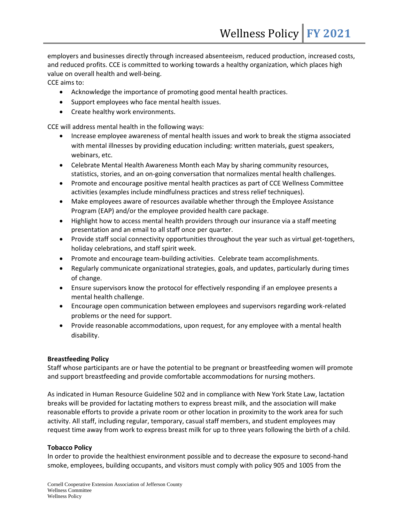employers and businesses directly through increased absenteeism, reduced production, increased costs, and reduced profits. CCE is committed to working towards a healthy organization, which places high value on overall health and well-being.

CCE aims to:

- Acknowledge the importance of promoting good mental health practices.
- Support employees who face mental health issues.
- Create healthy work environments.

CCE will address mental health in the following ways:

- Increase employee awareness of mental health issues and work to break the stigma associated with mental illnesses by providing education including: written materials, guest speakers, webinars, etc.
- Celebrate Mental Health Awareness Month each May by sharing community resources, statistics, stories, and an on-going conversation that normalizes mental health challenges.
- Promote and encourage positive mental health practices as part of CCE Wellness Committee activities (examples include mindfulness practices and stress relief techniques).
- Make employees aware of resources available whether through the Employee Assistance Program (EAP) and/or the employee provided health care package.
- Highlight how to access mental health providers through our insurance via a staff meeting presentation and an email to all staff once per quarter.
- Provide staff social connectivity opportunities throughout the year such as virtual get-togethers, holiday celebrations, and staff spirit week.
- Promote and encourage team-building activities. Celebrate team accomplishments.
- Regularly communicate organizational strategies, goals, and updates, particularly during times of change.
- Ensure supervisors know the protocol for effectively responding if an employee presents a mental health challenge.
- Encourage open communication between employees and supervisors regarding work-related problems or the need for support.
- Provide reasonable accommodations, upon request, for any employee with a mental health disability.

# **Breastfeeding Policy**

Staff whose participants are or have the potential to be pregnant or breastfeeding women will promote and support breastfeeding and provide comfortable accommodations for nursing mothers.

As indicated in Human Resource Guideline 502 and in compliance with New York State Law, lactation breaks will be provided for lactating mothers to express breast milk, and the association will make reasonable efforts to provide a private room or other location in proximity to the work area for such activity. All staff, including regular, temporary, casual staff members, and student employees may request time away from work to express breast milk for up to three years following the birth of a child.

# **Tobacco Policy**

In order to provide the healthiest environment possible and to decrease the exposure to second-hand smoke, employees, building occupants, and visitors must comply with policy 905 and 1005 from the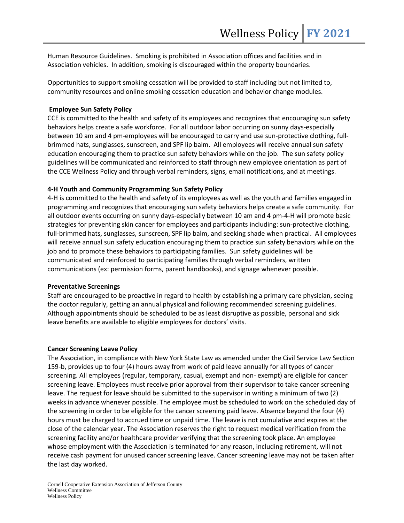Human Resource Guidelines. Smoking is prohibited in Association offices and facilities and in Association vehicles. In addition, smoking is discouraged within the property boundaries.

Opportunities to support smoking cessation will be provided to staff including but not limited to, community resources and online smoking cessation education and behavior change modules.

#### **Employee Sun Safety Policy**

CCE is committed to the health and safety of its employees and recognizes that encouraging sun safety behaviors helps create a safe workforce. For all outdoor labor occurring on sunny days-especially between 10 am and 4 pm-employees will be encouraged to carry and use sun-protective clothing, fullbrimmed hats, sunglasses, sunscreen, and SPF lip balm. All employees will receive annual sun safety education encouraging them to practice sun safety behaviors while on the job. The sun safety policy guidelines will be communicated and reinforced to staff through new employee orientation as part of the CCE Wellness Policy and through verbal reminders, signs, email notifications, and at meetings.

#### **4-H Youth and Community Programming Sun Safety Policy**

4-H is committed to the health and safety of its employees as well as the youth and families engaged in programming and recognizes that encouraging sun safety behaviors helps create a safe community. For all outdoor events occurring on sunny days-especially between 10 am and 4 pm-4-H will promote basic strategies for preventing skin cancer for employees and participants including: sun-protective clothing, full-brimmed hats, sunglasses, sunscreen, SPF lip balm, and seeking shade when practical. All employees will receive annual sun safety education encouraging them to practice sun safety behaviors while on the job and to promote these behaviors to participating families. Sun safety guidelines will be communicated and reinforced to participating families through verbal reminders, written communications (ex: permission forms, parent handbooks), and signage whenever possible.

#### **Preventative Screenings**

Staff are encouraged to be proactive in regard to health by establishing a primary care physician, seeing the doctor regularly, getting an annual physical and following recommended screening guidelines. Although appointments should be scheduled to be as least disruptive as possible, personal and sick leave benefits are available to eligible employees for doctors' visits.

#### **Cancer Screening Leave Policy**

The Association, in compliance with New York State Law as amended under the Civil Service Law Section 159-b, provides up to four (4) hours away from work of paid leave annually for all types of cancer screening. All employees (regular, temporary, casual, exempt and non- exempt) are eligible for cancer screening leave. Employees must receive prior approval from their supervisor to take cancer screening leave. The request for leave should be submitted to the supervisor in writing a minimum of two (2) weeks in advance whenever possible. The employee must be scheduled to work on the scheduled day of the screening in order to be eligible for the cancer screening paid leave. Absence beyond the four (4) hours must be charged to accrued time or unpaid time. The leave is not cumulative and expires at the close of the calendar year. The Association reserves the right to request medical verification from the screening facility and/or healthcare provider verifying that the screening took place. An employee whose employment with the Association is terminated for any reason, including retirement, will not receive cash payment for unused cancer screening leave. Cancer screening leave may not be taken after the last day worked.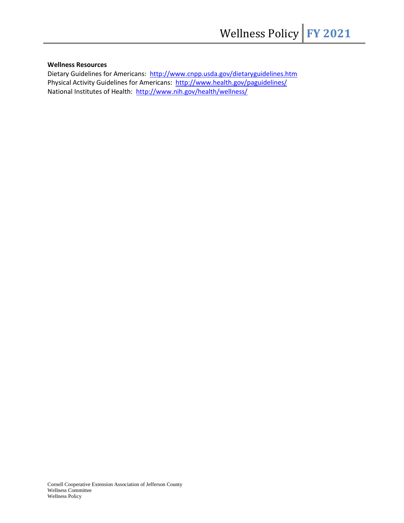#### **Wellness Resources**

Dietary Guidelines for Americans: <http://www.cnpp.usda.gov/dietaryguidelines.htm> Physical Activity Guidelines for Americans: <http://www.health.gov/paguidelines/> National Institutes of Health: <http://www.nih.gov/health/wellness/>